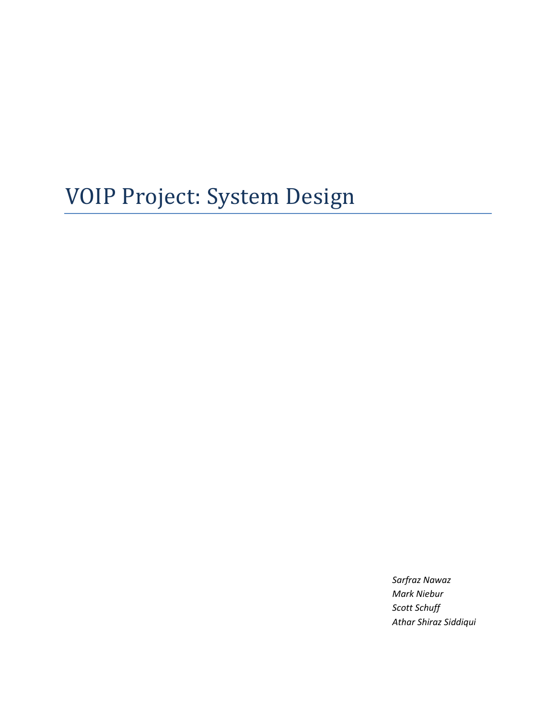# VOIP Project: System Design

*Sarfraz Nawaz Mark Niebur Scott Schuff Athar Shiraz Siddiqui*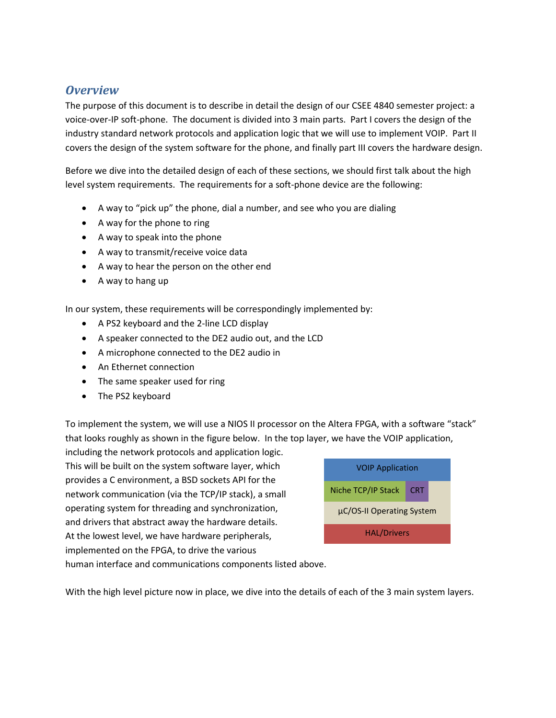# *Overview*

The purpose of this document is to describe in detail the design of our CSEE 4840 semester project: a voice-over-IP soft-phone. The document is divided into 3 main parts. Part I covers the design of the industry standard network protocols and application logic that we will use to implement VOIP. Part II covers the design of the system software for the phone, and finally part III covers the hardware design.

Before we dive into the detailed design of each of these sections, we should first talk about the high level system requirements. The requirements for a soft-phone device are the following:

- A way to "pick up" the phone, dial a number, and see who you are dialing
- A way for the phone to ring
- A way to speak into the phone
- A way to transmit/receive voice data
- A way to hear the person on the other end
- A way to hang up

In our system, these requirements will be correspondingly implemented by:

- A PS2 keyboard and the 2-line LCD display
- A speaker connected to the DE2 audio out, and the LCD
- A microphone connected to the DE2 audio in
- An Ethernet connection
- The same speaker used for ring
- The PS2 keyboard

To implement the system, we will use a NIOS II processor on the Altera FPGA, with a software "stack" that looks roughly as shown in the figure below. In the top layer, we have the VOIP application,

including the network protocols and application logic. This will be built on the system software layer, which provides a C environment, a BSD sockets API for the network communication (via the TCP/IP stack), a small operating system for threading and synchronization, and drivers that abstract away the hardware details. At the lowest level, we have hardware peripherals, implemented on the FPGA, to drive the various



human interface and communications components listed above.

With the high level picture now in place, we dive into the details of each of the 3 main system layers.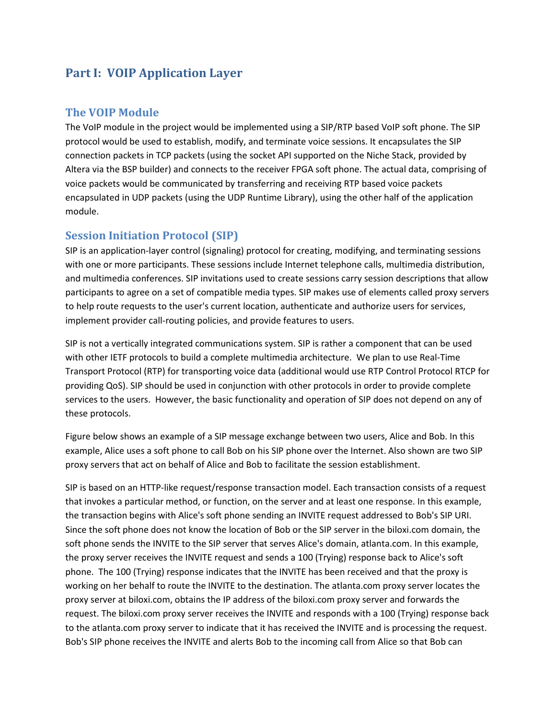# **Part I: VOIP Application Layer**

## **The VOIP Module**

The VoIP module in the project would be implemented using a SIP/RTP based VoIP soft phone. The SIP protocol would be used to establish, modify, and terminate voice sessions. It encapsulates the SIP connection packets in TCP packets (using the socket API supported on the Niche Stack, provided by Altera via the BSP builder) and connects to the receiver FPGA soft phone. The actual data, comprising of voice packets would be communicated by transferring and receiving RTP based voice packets encapsulated in UDP packets (using the UDP Runtime Library), using the other half of the application module.

## **Session Initiation Protocol (SIP)**

SIP is an application-layer control (signaling) protocol for creating, modifying, and terminating sessions with one or more participants. These sessions include Internet telephone calls, multimedia distribution, and multimedia conferences. SIP invitations used to create sessions carry session descriptions that allow participants to agree on a set of compatible media types. SIP makes use of elements called proxy servers to help route requests to the user's current location, authenticate and authorize users for services, implement provider call-routing policies, and provide features to users.

SIP is not a vertically integrated communications system. SIP is rather a component that can be used with other IETF protocols to build a complete multimedia architecture. We plan to use Real-Time Transport Protocol (RTP) for transporting voice data (additional would use RTP Control Protocol RTCP for providing QoS). SIP should be used in conjunction with other protocols in order to provide complete services to the users. However, the basic functionality and operation of SIP does not depend on any of these protocols.

Figure below shows an example of a SIP message exchange between two users, Alice and Bob. In this example, Alice uses a soft phone to call Bob on his SIP phone over the Internet. Also shown are two SIP proxy servers that act on behalf of Alice and Bob to facilitate the session establishment.

SIP is based on an HTTP-like request/response transaction model. Each transaction consists of a request that invokes a particular method, or function, on the server and at least one response. In this example, the transaction begins with Alice's soft phone sending an INVITE request addressed to Bob's SIP URI. Since the soft phone does not know the location of Bob or the SIP server in the biloxi.com domain, the soft phone sends the INVITE to the SIP server that serves Alice's domain, atlanta.com. In this example, the proxy server receives the INVITE request and sends a 100 (Trying) response back to Alice's soft phone. The 100 (Trying) response indicates that the INVITE has been received and that the proxy is working on her behalf to route the INVITE to the destination. The atlanta.com proxy server locates the proxy server at biloxi.com, obtains the IP address of the biloxi.com proxy server and forwards the request. The biloxi.com proxy server receives the INVITE and responds with a 100 (Trying) response back to the atlanta.com proxy server to indicate that it has received the INVITE and is processing the request. Bob's SIP phone receives the INVITE and alerts Bob to the incoming call from Alice so that Bob can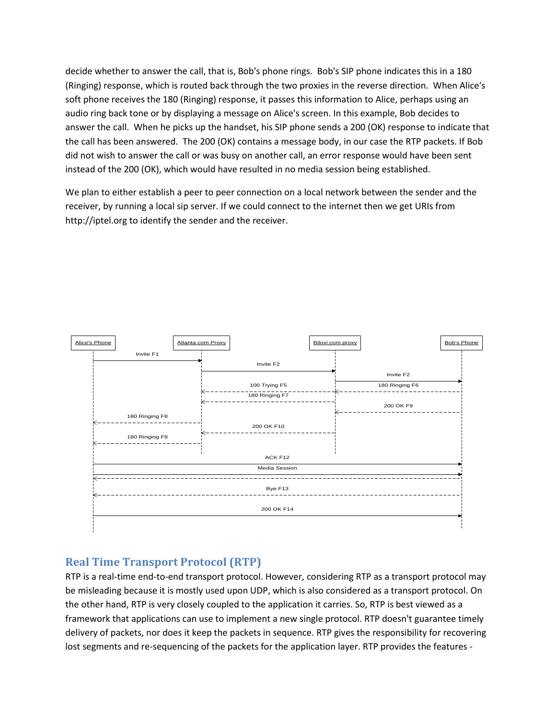decide whether to answer the call, that is, Bob's phone rings. Bob's SIP phone indicates this in a 180 (Ringing) response, which is routed back through the two proxies in the reverse direction. When Alice's soft phone receives the 180 (Ringing) response, it passes this information to Alice, perhaps using an audio ring back tone or by displaying a message on Alice's screen. In this example, Bob decides to answer the call. When he picks up the handset, his SIP phone sends a 200 (OK) response to indicate that the call has been answered. The 200 (OK) contains a message body, in our case the RTP packets. If Bob did not wish to answer the call or was busy on another call, an error response would have been sent instead of the 200 (OK), which would have resulted in no media session being established.

We plan to either establish a peer to peer connection on a local network between the sender and the receiver, by running a local sip server. If we could connect to the internet then we get URIs from http://iptel.org to identify the sender and the receiver.



## **Real Time Transport Protocol (RTP)**

RTP is a real-time end-to-end transport protocol. However, considering RTP as a transport protocol may be misleading because it is mostly used upon UDP, which is also considered as a transport protocol. On the other hand, RTP is very closely coupled to the application it carries. So, RTP is best viewed as a framework that applications can use to implement a new single protocol. RTP doesn't guarantee timely delivery of packets, nor does it keep the packets in sequence. RTP gives the responsibility for recovering lost segments and re-sequencing of the packets for the application layer. RTP provides the features -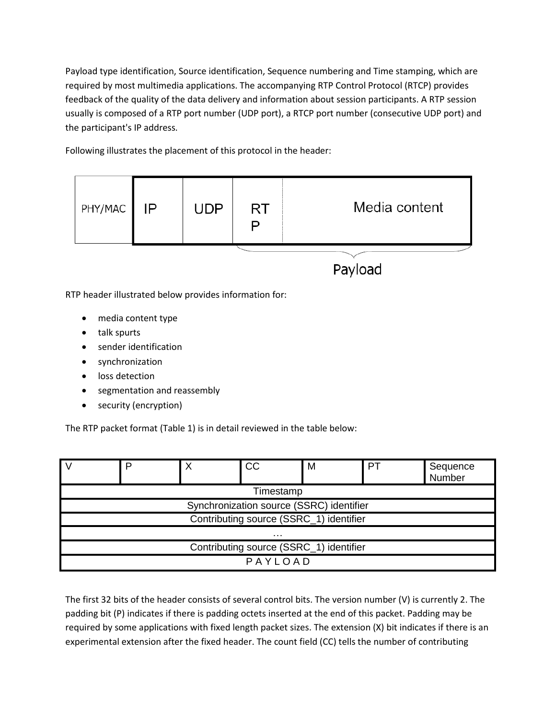Payload type identification, Source identification, Sequence numbering and Time stamping, which are required by most multimedia applications. The accompanying RTP Control Protocol (RTCP) provides feedback of the quality of the data delivery and information about session participants. A RTP session usually is composed of a RTP port number (UDP port), a RTCP port number (consecutive UDP port) and the participant's IP address.

Following illustrates the placement of this protocol in the header:



- talk spurts
- sender identification
- synchronization
- **•** loss detection
- segmentation and reassembly
- security (encryption)

The RTP packet format (Table 1) is in detail reviewed in the table below:

|                                          |  |  | CC | M | PТ | Sequence<br>Number |  |
|------------------------------------------|--|--|----|---|----|--------------------|--|
| Timestamp                                |  |  |    |   |    |                    |  |
| Synchronization source (SSRC) identifier |  |  |    |   |    |                    |  |
| Contributing source (SSRC_1) identifier  |  |  |    |   |    |                    |  |
| .                                        |  |  |    |   |    |                    |  |
| Contributing source (SSRC_1) identifier  |  |  |    |   |    |                    |  |
| PAYLOAD                                  |  |  |    |   |    |                    |  |

The first 32 bits of the header consists of several control bits. The version number (V) is currently 2. The padding bit (P) indicates if there is padding octets inserted at the end of this packet. Padding may be required by some applications with fixed length packet sizes. The extension (X) bit indicates if there is an experimental extension after the fixed header. The count field (CC) tells the number of contributing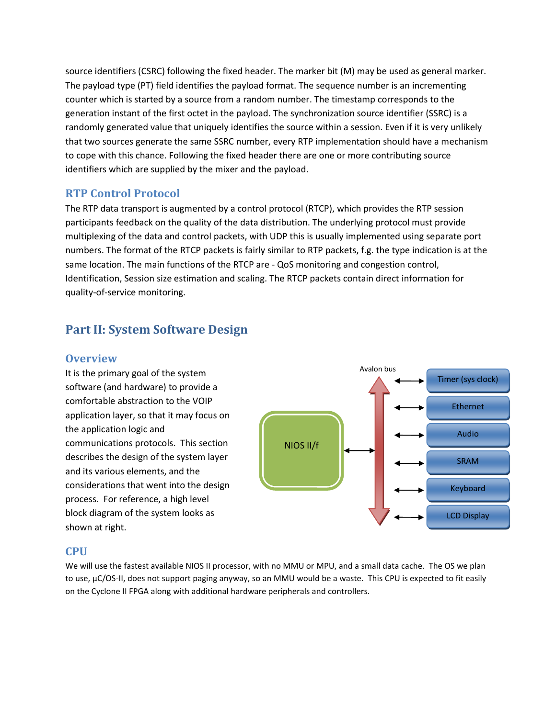source identifiers (CSRC) following the fixed header. The marker bit (M) may be used as general marker. The payload type (PT) field identifies the payload format. The sequence number is an incrementing counter which is started by a source from a random number. The timestamp corresponds to the generation instant of the first octet in the payload. The synchronization source identifier (SSRC) is a randomly generated value that uniquely identifies the source within a session. Even if it is very unlikely that two sources generate the same SSRC number, every RTP implementation should have a mechanism to cope with this chance. Following the fixed header there are one or more contributing source identifiers which are supplied by the mixer and the payload.

#### **RTP Control Protocol**

The RTP data transport is augmented by a control protocol (RTCP), which provides the RTP session participants feedback on the quality of the data distribution. The underlying protocol must provide multiplexing of the data and control packets, with UDP this is usually implemented using separate port numbers. The format of the RTCP packets is fairly similar to RTP packets, f.g. the type indication is at the same location. The main functions of the RTCP are - QoS monitoring and congestion control, Identification, Session size estimation and scaling. The RTCP packets contain direct information for quality-of-service monitoring.

# **Part II: System Software Design**

#### **Overview**

It is the primary goal of the system software (and hardware) to provide a comfortable abstraction to the VOIP application layer, so that it may focus on the application logic and communications protocols. This section describes the design of the system layer and its various elements, and the considerations that went into the design process. For reference, a high level block diagram of the system looks as shown at right.



#### **CPU**

We will use the fastest available NIOS II processor, with no MMU or MPU, and a small data cache. The OS we plan to use, µC/OS-II, does not support paging anyway, so an MMU would be a waste. This CPU is expected to fit easily on the Cyclone II FPGA along with additional hardware peripherals and controllers.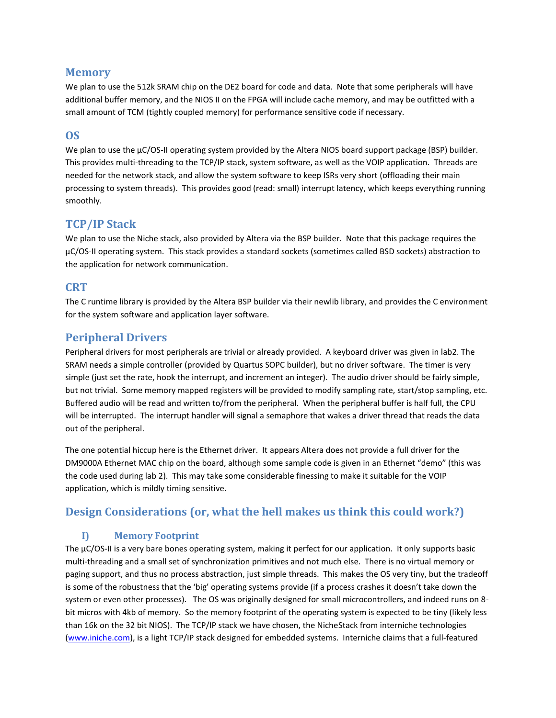#### **Memory**

We plan to use the 512k SRAM chip on the DE2 board for code and data. Note that some peripherals will have additional buffer memory, and the NIOS II on the FPGA will include cache memory, and may be outfitted with a small amount of TCM (tightly coupled memory) for performance sensitive code if necessary.

#### **OS**

We plan to use the µC/OS-II operating system provided by the Altera NIOS board support package (BSP) builder. This provides multi-threading to the TCP/IP stack, system software, as well as the VOIP application. Threads are needed for the network stack, and allow the system software to keep ISRs very short (offloading their main processing to system threads). This provides good (read: small) interrupt latency, which keeps everything running smoothly.

#### **TCP/IP Stack**

We plan to use the Niche stack, also provided by Altera via the BSP builder. Note that this package requires the µC/OS-II operating system. This stack provides a standard sockets (sometimes called BSD sockets) abstraction to the application for network communication.

#### **CRT**

The C runtime library is provided by the Altera BSP builder via their newlib library, and provides the C environment for the system software and application layer software.

## **Peripheral Drivers**

Peripheral drivers for most peripherals are trivial or already provided. A keyboard driver was given in lab2. The SRAM needs a simple controller (provided by Quartus SOPC builder), but no driver software. The timer is very simple (just set the rate, hook the interrupt, and increment an integer). The audio driver should be fairly simple, but not trivial. Some memory mapped registers will be provided to modify sampling rate, start/stop sampling, etc. Buffered audio will be read and written to/from the peripheral. When the peripheral buffer is half full, the CPU will be interrupted. The interrupt handler will signal a semaphore that wakes a driver thread that reads the data out of the peripheral.

The one potential hiccup here is the Ethernet driver. It appears Altera does not provide a full driver for the DM9000A Ethernet MAC chip on the board, although some sample code is given in an Ethernet "demo" (this was the code used during lab 2). This may take some considerable finessing to make it suitable for the VOIP application, which is mildly timing sensitive.

## **Design Considerations (or, what the hell makes us think this could work?)**

#### **I) Memory Footprint**

The  $\mu$ C/OS-II is a very bare bones operating system, making it perfect for our application. It only supports basic multi-threading and a small set of synchronization primitives and not much else. There is no virtual memory or paging support, and thus no process abstraction, just simple threads. This makes the OS very tiny, but the tradeoff is some of the robustness that the 'big' operating systems provide (if a process crashes it doesn't take down the system or even other processes). The OS was originally designed for small microcontrollers, and indeed runs on 8 bit micros with 4kb of memory. So the memory footprint of the operating system is expected to be tiny (likely less than 16k on the 32 bit NIOS). The TCP/IP stack we have chosen, the NicheStack from interniche technologies [\(www.iniche.com\)](http://www.iniche.com/), is a light TCP/IP stack designed for embedded systems. Interniche claims that a full-featured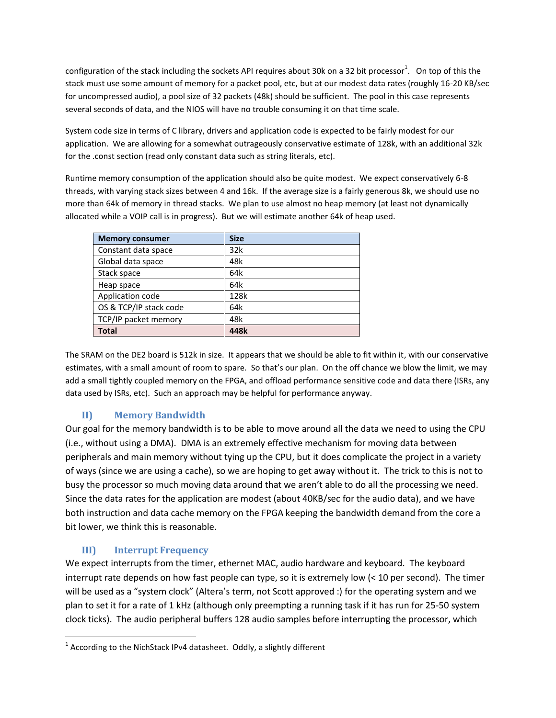configuration of the stack including the sockets API requires about 30k on a 32 bit processor<sup>1</sup>. On top of this the stack must use some amount of memory for a packet pool, etc, but at our modest data rates (roughly 16-20 KB/sec for uncompressed audio), a pool size of 32 packets (48k) should be sufficient. The pool in this case represents several seconds of data, and the NIOS will have no trouble consuming it on that time scale.

System code size in terms of C library, drivers and application code is expected to be fairly modest for our application. We are allowing for a somewhat outrageously conservative estimate of 128k, with an additional 32k for the .const section (read only constant data such as string literals, etc).

Runtime memory consumption of the application should also be quite modest. We expect conservatively 6-8 threads, with varying stack sizes between 4 and 16k. If the average size is a fairly generous 8k, we should use no more than 64k of memory in thread stacks. We plan to use almost no heap memory (at least not dynamically allocated while a VOIP call is in progress). But we will estimate another 64k of heap used.

| <b>Memory consumer</b> | <b>Size</b> |
|------------------------|-------------|
| Constant data space    | 32k         |
| Global data space      | 48k         |
| Stack space            | 64k         |
| Heap space             | 64k         |
| Application code       | 128k        |
| OS & TCP/IP stack code | 64k         |
| TCP/IP packet memory   | 48k         |
| Total                  | 448k        |

The SRAM on the DE2 board is 512k in size. It appears that we should be able to fit within it, with our conservative estimates, with a small amount of room to spare. So that's our plan. On the off chance we blow the limit, we may add a small tightly coupled memory on the FPGA, and offload performance sensitive code and data there (ISRs, any data used by ISRs, etc). Such an approach may be helpful for performance anyway.

## **II) Memory Bandwidth**

Our goal for the memory bandwidth is to be able to move around all the data we need to using the CPU (i.e., without using a DMA). DMA is an extremely effective mechanism for moving data between peripherals and main memory without tying up the CPU, but it does complicate the project in a variety of ways (since we are using a cache), so we are hoping to get away without it. The trick to this is not to busy the processor so much moving data around that we aren't able to do all the processing we need. Since the data rates for the application are modest (about 40KB/sec for the audio data), and we have both instruction and data cache memory on the FPGA keeping the bandwidth demand from the core a bit lower, we think this is reasonable.

#### **III) Interrupt Frequency**

 $\overline{\phantom{a}}$ 

We expect interrupts from the timer, ethernet MAC, audio hardware and keyboard. The keyboard interrupt rate depends on how fast people can type, so it is extremely low (< 10 per second). The timer will be used as a "system clock" (Altera's term, not Scott approved :) for the operating system and we plan to set it for a rate of 1 kHz (although only preempting a running task if it has run for 25-50 system clock ticks). The audio peripheral buffers 128 audio samples before interrupting the processor, which

 $^1$  According to the NichStack IPv4 datasheet. Oddly, a slightly different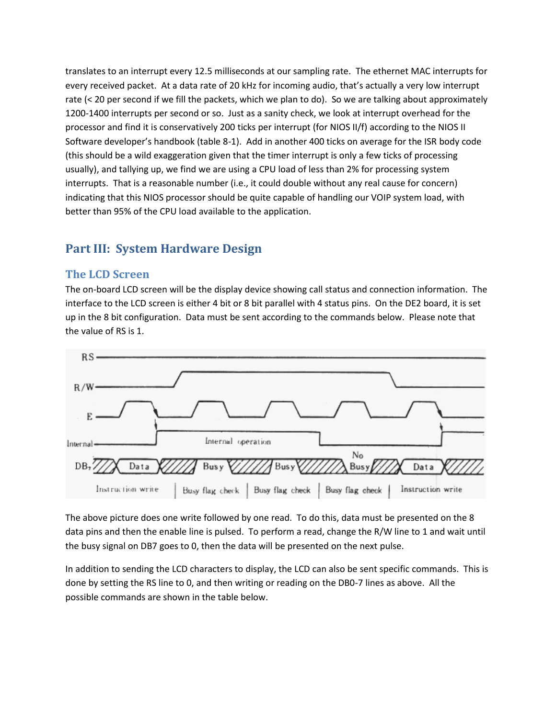translates to an interrupt every 12.5 milliseconds at our sampling rate. The ethernet MAC interrupts for every received packet. At a data rate of 20 kHz for incoming audio, that's actually a very low interrupt rate (< 20 per second if we fill the packets, which we plan to do). So we are talking about approximately 1200-1400 interrupts per second or so. Just as a sanity check, we look at interrupt overhead for the processor and find it is conservatively 200 ticks per interrupt (for NIOS II/f) according to the NIOS II Software developer's handbook (table 8-1). Add in another 400 ticks on average for the ISR body code (this should be a wild exaggeration given that the timer interrupt is only a few ticks of processing usually), and tallying up, we find we are using a CPU load of less than 2% for processing system interrupts. That is a reasonable number (i.e., it could double without any real cause for concern) indicating that this NIOS processor should be quite capable of handling our VOIP system load, with better than 95% of the CPU load available to the application.

# **Part III: System Hardware Design**

## **The LCD Screen**

The on-board LCD screen will be the display device showing call status and connection information. The interface to the LCD screen is either 4 bit or 8 bit parallel with 4 status pins. On the DE2 board, it is set up in the 8 bit configuration. Data must be sent according to the commands below. Please note that the value of RS is 1.



The above picture does one write followed by one read. To do this, data must be presented on the 8 data pins and then the enable line is pulsed. To perform a read, change the R/W line to 1 and wait until the busy signal on DB7 goes to 0, then the data will be presented on the next pulse.

In addition to sending the LCD characters to display, the LCD can also be sent specific commands. This is done by setting the RS line to 0, and then writing or reading on the DB0-7 lines as above. All the possible commands are shown in the table below.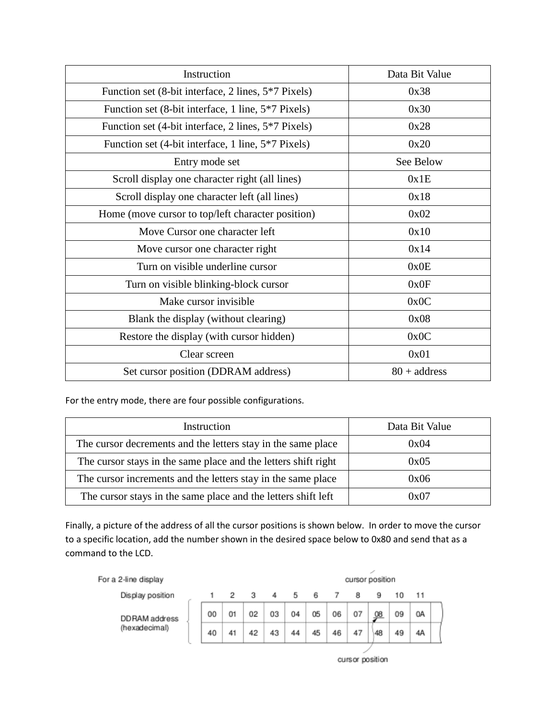| Instruction                                         | Data Bit Value        |
|-----------------------------------------------------|-----------------------|
| Function set (8-bit interface, 2 lines, 5*7 Pixels) | 0x38                  |
| Function set (8-bit interface, 1 line, 5*7 Pixels)  | 0x30                  |
| Function set (4-bit interface, 2 lines, 5*7 Pixels) | 0x28                  |
| Function set (4-bit interface, 1 line, 5*7 Pixels)  | 0x20                  |
| Entry mode set                                      | See Below             |
| Scroll display one character right (all lines)      | 0x1E                  |
| Scroll display one character left (all lines)       | 0x18                  |
| Home (move cursor to top/left character position)   | 0x02                  |
| Move Cursor one character left                      | 0x10                  |
| Move cursor one character right                     | 0x14                  |
| Turn on visible underline cursor                    | 0x0E                  |
| Turn on visible blinking-block cursor               | 0x0F                  |
| Make cursor invisible                               | 0x0C                  |
| Blank the display (without clearing)                | 0x08                  |
| Restore the display (with cursor hidden)            | 0x0C                  |
| Clear screen                                        | 0x01                  |
| Set cursor position (DDRAM address)                 | $80 + \text{address}$ |

For the entry mode, there are four possible configurations.

| Instruction                                                    | Data Bit Value |  |
|----------------------------------------------------------------|----------------|--|
| The cursor decrements and the letters stay in the same place   | 0x04           |  |
| The cursor stays in the same place and the letters shift right | 0x05           |  |
| The cursor increments and the letters stay in the same place   | 0x06           |  |
| The cursor stays in the same place and the letters shift left  | 0x07           |  |

Finally, a picture of the address of all the cursor positions is shown below. In order to move the cursor to a specific location, add the number shown in the desired space below to 0x80 and send that as a command to the LCD.



cursor position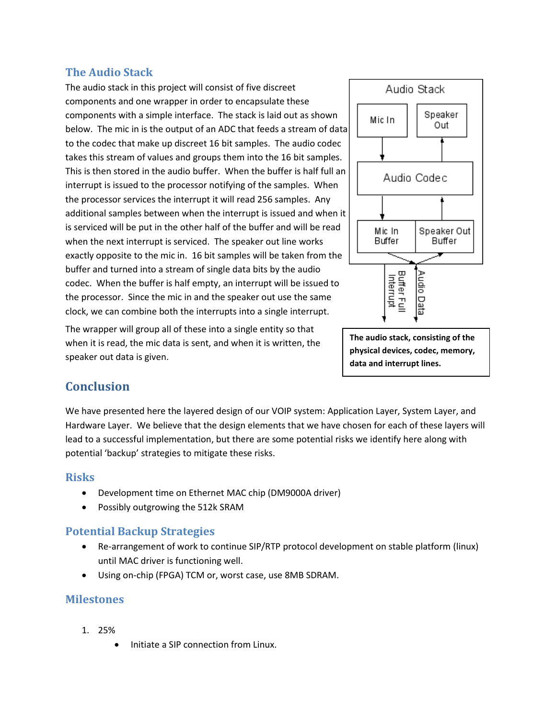## **The Audio Stack**

The audio stack in this project will consist of five discreet components and one wrapper in order to encapsulate these components with a simple interface. The stack is laid out as shown below. The mic in is the output of an ADC that feeds a stream of data to the codec that make up discreet 16 bit samples. The audio codec takes this stream of values and groups them into the 16 bit samples. This is then stored in the audio buffer. When the buffer is half full an interrupt is issued to the processor notifying of the samples. When the processor services the interrupt it will read 256 samples. Any additional samples between when the interrupt is issued and when it is serviced will be put in the other half of the buffer and will be read when the next interrupt is serviced. The speaker out line works exactly opposite to the mic in. 16 bit samples will be taken from the buffer and turned into a stream of single data bits by the audio codec. When the buffer is half empty, an interrupt will be issued to the processor. Since the mic in and the speaker out use the same clock, we can combine both the interrupts into a single interrupt.

The wrapper will group all of these into a single entity so that when it is read, the mic data is sent, and when it is written, the speaker out data is given.



**The audio stack, consisting of the physical devices, codec, memory, data and interrupt lines.**

# **Conclusion**

We have presented here the layered design of our VOIP system: Application Layer, System Layer, and Hardware Layer. We believe that the design elements that we have chosen for each of these layers will lead to a successful implementation, but there are some potential risks we identify here along with potential 'backup' strategies to mitigate these risks.

## **Risks**

- Development time on Ethernet MAC chip (DM9000A driver)
- Possibly outgrowing the 512k SRAM

## **Potential Backup Strategies**

- Re-arrangement of work to continue SIP/RTP protocol development on stable platform (linux) until MAC driver is functioning well.
- Using on-chip (FPGA) TCM or, worst case, use 8MB SDRAM.

#### **Milestones**

- 1. 25%
	- Initiate a SIP connection from Linux.